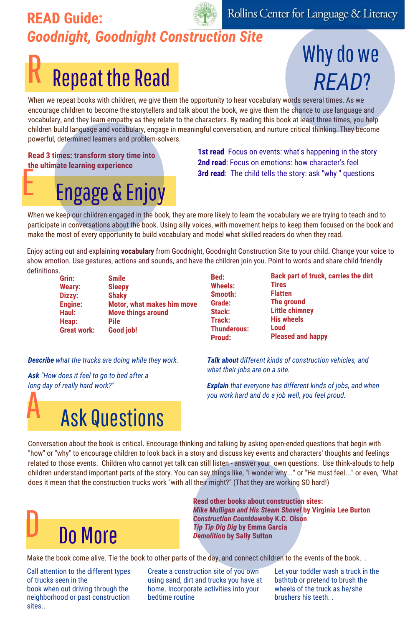#### READ Guide:<br>**Goodnight, Goodnight Construction Site**<br>**Mhy do we** *Goodnight, Goodnight Construction Site*

#### **Repeat the Read**

#### Why do we *READ*?

When we repeat books with children, we give them the opportunity to hear vocabulary words several times. As we encourage children to become the storytellers and talk about the book, we give them the chance to use language and vocabulary, and they learn empathy as they relate to the characters. By reading this book at least three times, you help children build language and vocabulary, engage in meaningful conversation, and nurture critical thinking. They become powerful, determined learners and problem-solvers.

**Read 3 times: transform story time into the ultimate learning experience**

## **Engage & Enjoy**<br> **3rd read**: The child tells the story: ask "why " questions and reader. The child tells the story: ask "why " questions

**1st read** Focus on events: what's happening in the story **2nd read**: Focus on emotions: how character's feel

> **Tires Flatten The ground Little chimney His wheels Loud**

**Pleased and happy**

When we keep our children engaged in the book, they are more likely to learn the vocabulary we are trying to teach and to participate in conversations about the book. Using silly voices, with movement helps to keep them focused on the book and make the most of every opportunity to build vocabulary and model what skilled readers do when they read.

Enjoy acting out and explaining **vocabulary** from Goodnight, Goodnight Construction Site to your child. Change your voice to show emotion. Use gestures, actions and sounds, and have the children join you. Point to words and share child-friendly definitions. **Back part of truck, carries the dirt**

**Bed: Wheels: Smooth: Grade: Stack: Track: Thunderous: Proud:**

| Grin:              | <b>Smile</b>                      |
|--------------------|-----------------------------------|
| <b>Weary:</b>      | <b>Sleepy</b>                     |
| Dizzy:             | <b>Shaky</b>                      |
| <b>Engine:</b>     | <b>Motor, what makes him move</b> |
| Haul:              | <b>Move things around</b>         |
| Heap:              | <b>Pile</b>                       |
| <b>Great work:</b> | Good job!                         |

*Describe what the trucks are doing while they work. Talk about different kinds of construction vehicles, and* 

*Ask "How does it feel to go to bed after a long day of really hard work?"*

*what their jobs are on a site. Explain that everyone has different kinds of jobs, and when you work hard and do a job well, you feel proud.*

**Ask Questions** Conversation about the book is critical. Encourage thinking and talking by asking open-ended questions that begin with

"how" or "why" to encourage children to look back in a story and discuss key events and characters' thoughts and feelings related to those events. Children who cannot yet talk can still listen - answer your own questions. Use think-alouds to help children understand important parts of the story. You can say things like, "I wonder why..." or "He must feel..." or even, "What does it mean that the construction trucks work "with all their might?" (That they are working SO hard!)



**Read other books about construction sites:** *Mike Mulligan and His Steam Shovel* **by Virginia Lee Burton** *Construction Countdown***by K.C. Olson** *Tip Tip Dig Dig* **by Emma Garcia** *Demolition* **by Sally Sutton**

Make the book come alive. Tie the book to other parts of the day, and connect children to the events of the book..

Call attention to the different types of trucks seen in the book when out driving through the neighborhood or past construction sites..

Create a construction site of you own using sand, dirt and trucks you have at home. Incorporate activities into your bedtime routine

Let your toddler wash a truck in the bathtub or pretend to brush the wheels of the truck as he/she brushers his teeth. .